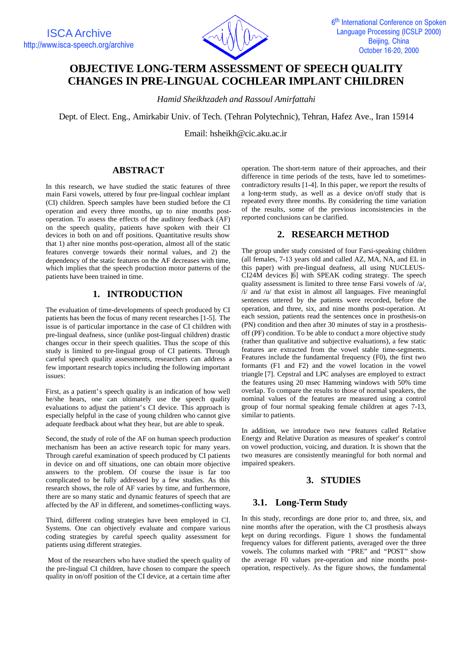

# **OBJECTIVE LONG-TERM ASSESSMENT OF SPEECH QUALITY CHANGES IN PRE-LINGUAL COCHLEAR IMPLANT CHILDREN**

*Hamid Sheikhzadeh and Rassoul Amirfattahi*

Dept. of Elect. Eng., Amirkabir Univ. of Tech. (Tehran Polytechnic), Tehran, Hafez Ave., Iran 15914

Email: hsheikh@cic.aku.ac.ir

# **ABSTRACT**

In this research, we have studied the static features of three main Farsi vowels, uttered by four pre-lingual cochlear implant (CI) children. Speech samples have been studied before the CI operation and every three months, up to nine months postoperation. To assess the effects of the auditory feedback (AF) on the speech quality, patients have spoken with their CI devices in both on and off positions. Quantitative results show that 1) after nine months post-operation, almost all of the static features converge towards their normal values, and 2) the dependency of the static features on the AF decreases with time, which implies that the speech production motor patterns of the patients have been trained in time.

# **1. INTRODUCTION**

The evaluation of time-developments of speech produced by CI patients has been the focus of many recent researches [1-5]. The issue is of particular importance in the case of CI children with pre-lingual deafness, since (unlike post-lingual children) drastic changes occur in their speech qualities. Thus the scope of this study is limited to pre-lingual group of CI patients. Through careful speech quality assessments, researchers can address a few important research topics including the following important issues:

First, as a patient's speech quality is an indication of how well he/she hears, one can ultimately use the speech quality evaluations to adjust the patient's CI device. This approach is especially helpful in the case of young children who cannot give adequate feedback about what they hear, but are able to speak.

Second, the study of role of the AF on human speech production mechanism has been an active research topic for many years. Through careful examination of speech produced by CI patients in device on and off situations, one can obtain more objective answers to the problem. Of course the issue is far too complicated to be fully addressed by a few studies. As this research shows, the role of AF varies by time, and furthermore, there are so many static and dynamic features of speech that are affected by the AF in different, and sometimes-conflicting ways.

Third, different coding strategies have been employed in CI. Systems. One can objectively evaluate and compare various coding strategies by careful speech quality assessment for patients using different strategies.

 Most of the researchers who have studied the speech quality of the pre-lingual CI children, have chosen to compare the speech quality in on/off position of the CI device, at a certain time after

operation. The short-term nature of their approaches, and their difference in time periods of the tests, have led to sometimescontradictory results [1-4]. In this paper, we report the results of a long-term study, as well as a device on/off study that is repeated every three months. By considering the time variation of the results, some of the previous inconsistencies in the reported conclusions can be clarified.

# **2. RESEARCH METHOD**

The group under study consisted of four Farsi-speaking children (all females, 7-13 years old and called AZ, MA, NA, and EL in this paper) with pre-lingual deafness, all using NUCLEUS-CI24M devices [6] with SPEAK coding strategy. The speech quality assessment is limited to three tense Farsi vowels of /a/,  $/i$  and  $/u$  that exist in almost all languages. Five meaningful sentences uttered by the patients were recorded, before the operation, and three, six, and nine months post-operation. At each session, patients read the sentences once in prosthesis-on (PN) condition and then after 30 minutes of stay in a prosthesisoff (PF) condition. To be able to conduct a more objective study (rather than qualitative and subjective evaluations), a few static features are extracted from the vowel stable time-segments. Features include the fundamental frequency (F0), the first two formants (F1 and F2) and the vowel location in the vowel triangle [7]. Cepstral and LPC analyses are employed to extract the features using 20 msec Hamming windows with 50% time overlap. To compare the results to those of normal speakers, the nominal values of the features are measured using a control group of four normal speaking female children at ages 7-13, similar to patients.

In addition, we introduce two new features called Relative Energy and Relative Duration as measures of speaker's control on vowel production, voicing, and duration. It is shown that the two measures are consistently meaningful for both normal and impaired speakers.

## **3. STUDIES**

## **3.1. Long-Term Study**

In this study, recordings are done prior to, and three, six, and nine months after the operation, with the CI prosthesis always kept on during recordings. Figure 1 shows the fundamental frequency values for different patients, averaged over the three vowels. The columns marked with "PRE" and "POST" show the average F0 values pre-operation and nine months postoperation, respectively. As the figure shows, the fundamental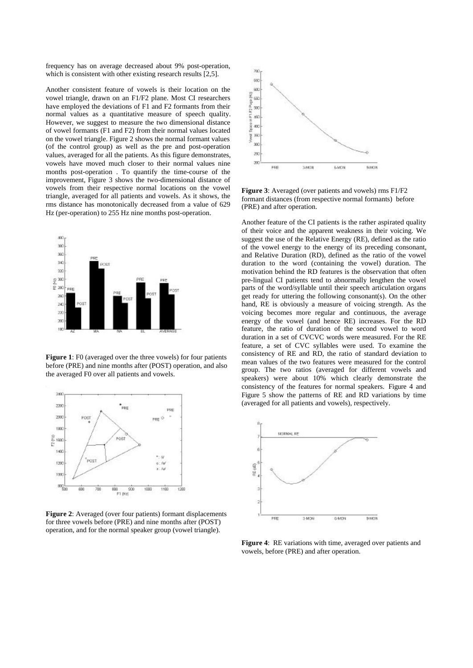frequency has on average decreased about 9% post-operation, which is consistent with other existing research results [2,5].

Another consistent feature of vowels is their location on the vowel triangle, drawn on an F1/F2 plane. Most CI researchers have employed the deviations of F1 and F2 formants from their normal values as a quantitative measure of speech quality. However, we suggest to measure the two dimensional distance of vowel formants (F1 and F2) from their normal values located on the vowel triangle. Figure 2 shows the normal formant values (of the control group) as well as the pre and post-operation values, averaged for all the patients. As this figure demonstrates, vowels have moved much closer to their normal values nine months post-operation . To quantify the time-course of the improvement, Figure 3 shows the two-dimensional distance of vowels from their respective normal locations on the vowel triangle, averaged for all patients and vowels. As it shows, the rms distance has monotonically decreased from a value of 629 Hz (per-operation) to 255 Hz nine months post-operation.



**Figure 1**: F0 (averaged over the three vowels) for four patients before (PRE) and nine months after (POST) operation, and also the averaged F0 over all patients and vowels.



**Figure 2**: Averaged (over four patients) formant displacements for three vowels before (PRE) and nine months after (POST) operation, and for the normal speaker group (vowel triangle).



**Figure 3**: Averaged (over patients and vowels) rms F1/F2 formant distances (from respective normal formants) before (PRE) and after operation.

Another feature of the CI patients is the rather aspirated quality of their voice and the apparent weakness in their voicing. We suggest the use of the Relative Energy (RE), defined as the ratio of the vowel energy to the energy of its preceding consonant, and Relative Duration (RD), defined as the ratio of the vowel duration to the word (containing the vowel) duration. The motivation behind the RD features is the observation that often pre-lingual CI patients tend to abnormally lengthen the vowel parts of the word/syllable until their speech articulation organs get ready for uttering the following consonant(s). On the other hand, RE is obviously a measure of voicing strength. As the voicing becomes more regular and continuous, the average energy of the vowel (and hence RE) increases. For the RD feature, the ratio of duration of the second vowel to word duration in a set of CVCVC words were measured. For the RE feature, a set of CVC syllables were used. To examine the consistency of RE and RD, the ratio of standard deviation to mean values of the two features were measured for the control group. The two ratios (averaged for different vowels and speakers) were about 10% which clearly demonstrate the consistency of the features for normal speakers. Figure 4 and Figure 5 show the patterns of RE and RD variations by time (averaged for all patients and vowels), respectively.



**Figure 4**: RE variations with time, averaged over patients and vowels, before (PRE) and after operation.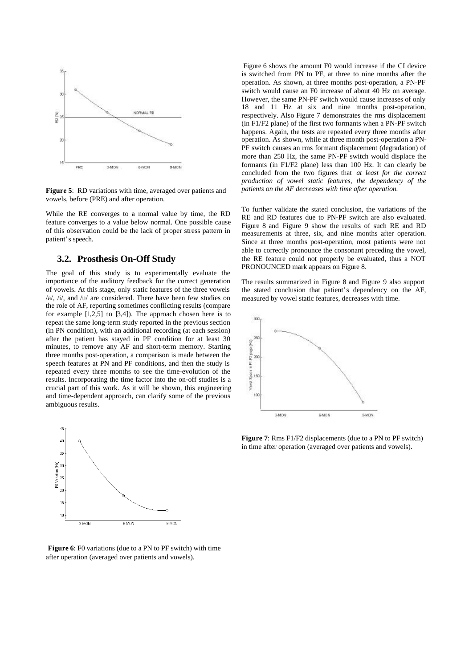

**Figure 5**: RD variations with time, averaged over patients and vowels, before (PRE) and after operation.

While the RE converges to a normal value by time, the RD feature converges to a value below normal. One possible cause of this observation could be the lack of proper stress pattern in patient's speech.

## **3.2. Prosthesis On-Off Study**

The goal of this study is to experimentally evaluate the importance of the auditory feedback for the correct generation of vowels. At this stage, only static features of the three vowels /a/, /i/, and /u/ are considered. There have been few studies on the role of AF, reporting sometimes conflicting results (compare for example [1,2,5] to [3,4]). The approach chosen here is to repeat the same long-term study reported in the previous section (in PN condition), with an additional recording (at each session) after the patient has stayed in PF condition for at least 30 minutes, to remove any AF and short-term memory. Starting three months post-operation, a comparison is made between the speech features at PN and PF conditions, and then the study is repeated every three months to see the time-evolution of the results. Incorporating the time factor into the on-off studies is a crucial part of this work. As it will be shown, this engineering and time-dependent approach, can clarify some of the previous ambiguous results.



**Figure 6**: F0 variations (due to a PN to PF switch) with time after operation (averaged over patients and vowels).

 Figure 6 shows the amount F0 would increase if the CI device is switched from PN to PF, at three to nine months after the operation. As shown, at three months post-operation, a PN-PF switch would cause an F0 increase of about 40 Hz on average. However, the same PN-PF switch would cause increases of only 18 and 11 Hz at six and nine months post-operation, respectively. Also Figure 7 demonstrates the rms displacement (in F1/F2 plane) of the first two formants when a PN-PF switch happens. Again, the tests are repeated every three months after operation. As shown, while at three month post-operation a PN-PF switch causes an rms formant displacement (degradation) of more than 250 Hz, the same PN-PF switch would displace the formants (in F1/F2 plane) less than 100 Hz. It can clearly be concluded from the two figures that *at least for the correct production of vowel static features, the dependency of the patients on the AF decreases with time after operation.*

To further validate the stated conclusion, the variations of the RE and RD features due to PN-PF switch are also evaluated. Figure 8 and Figure 9 show the results of such RE and RD measurements at three, six, and nine months after operation. Since at three months post-operation, most patients were not able to correctly pronounce the consonant preceding the vowel, the RE feature could not properly be evaluated, thus a NOT PRONOUNCED mark appears on Figure 8.

The results summarized in Figure 8 and Figure 9 also support the stated conclusion that patient's dependency on the AF, measured by vowel static features, decreases with time.



**Figure 7**: Rms F1/F2 displacements (due to a PN to PF switch) in time after operation (averaged over patients and vowels).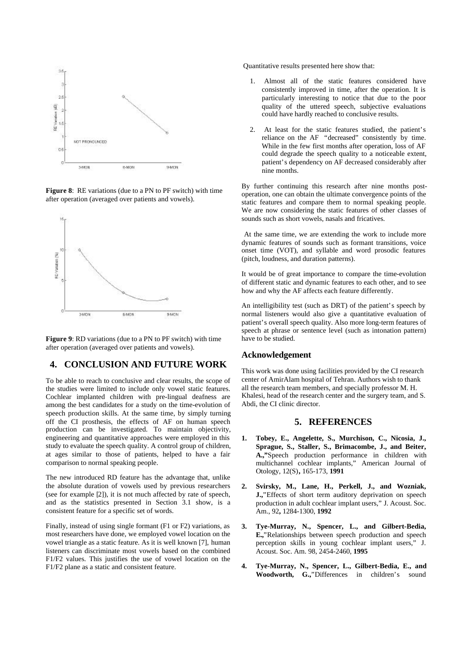

**Figure 8**: RE variations (due to a PN to PF switch) with time after operation (averaged over patients and vowels).



**Figure 9**: RD variations (due to a PN to PF switch) with time after operation (averaged over patients and vowels).

## **4. CONCLUSION AND FUTURE WORK**

To be able to reach to conclusive and clear results, the scope of the studies were limited to include only vowel static features. Cochlear implanted children with pre-lingual deafness are among the best candidates for a study on the time-evolution of speech production skills. At the same time, by simply turning off the CI prosthesis, the effects of AF on human speech production can be investigated. To maintain objectivity, engineering and quantitative approaches were employed in this study to evaluate the speech quality. A control group of children, at ages similar to those of patients, helped to have a fair comparison to normal speaking people.

The new introduced RD feature has the advantage that, unlike the absolute duration of vowels used by previous researchers (see for example [2]), it is not much affected by rate of speech, and as the statistics presented in Section 3.1 show, is a consistent feature for a specific set of words.

Finally, instead of using single formant (F1 or F2) variations, as most researchers have done, we employed vowel location on the vowel triangle as a static feature. As it is well known [7], human listeners can discriminate most vowels based on the combined F1/F2 values. This justifies the use of vowel location on the F1/F2 plane as a static and consistent feature.

Quantitative results presented here show that:

- 1. Almost all of the static features considered have consistently improved in time, after the operation. It is particularly interesting to notice that due to the poor quality of the uttered speech, subjective evaluations could have hardly reached to conclusive results.
- 2. At least for the static features studied, the patient's reliance on the AF "decreased" consistently by time. While in the few first months after operation, loss of AF could degrade the speech quality to a noticeable extent, patient's dependency on AF decreased considerably after nine months.

By further continuing this research after nine months postoperation, one can obtain the ultimate convergence points of the static features and compare them to normal speaking people. We are now considering the static features of other classes of sounds such as short vowels, nasals and fricatives.

 At the same time, we are extending the work to include more dynamic features of sounds such as formant transitions, voice onset time (VOT), and syllable and word prosodic features (pitch, loudness, and duration patterns).

It would be of great importance to compare the time-evolution of different static and dynamic features to each other, and to see how and why the AF affects each feature differently.

An intelligibility test (such as DRT) of the patient's speech by normal listeners would also give a quantitative evaluation of patient's overall speech quality. Also more long-term features of speech at phrase or sentence level (such as intonation pattern) have to be studied.

#### **Acknowledgement**

This work was done using facilities provided by the CI research center of AmirAlam hospital of Tehran. Authors wish to thank all the research team members, and specially professor M. H. Khalesi, head of the research center and the surgery team, and S. Abdi, the CI clinic director.

#### **5. REFERENCES**

- **1. Tobey, E., Angelette, S., Murchison, C., Nicosia, J., Sprague, S., Staller, S., Brimacombe, J., and Beiter, A.,"**Speech production performance in children with multichannel cochlear implants," American Journal of Otology, 12(S)**,** 165-173, **1991**
- **2. Svirsky, M., Lane, H., Perkell, J., and Wozniak, J.,**"Effects of short term auditory deprivation on speech production in adult cochlear implant users," J. Acoust. Soc. Am., 92**,** 1284-1300, **1992**
- **3. Tye-Murray, N., Spencer, L., and Gilbert-Bedia, E.,**"Relationships between speech production and speech perception skills in young cochlear implant users," J. Acoust. Soc. Am. 98, 2454-2460, **1995**
- **4. Tye-Murray, N., Spencer, L., Gilbert-Bedia, E., and Woodworth, G.,**"Differences in children's sound